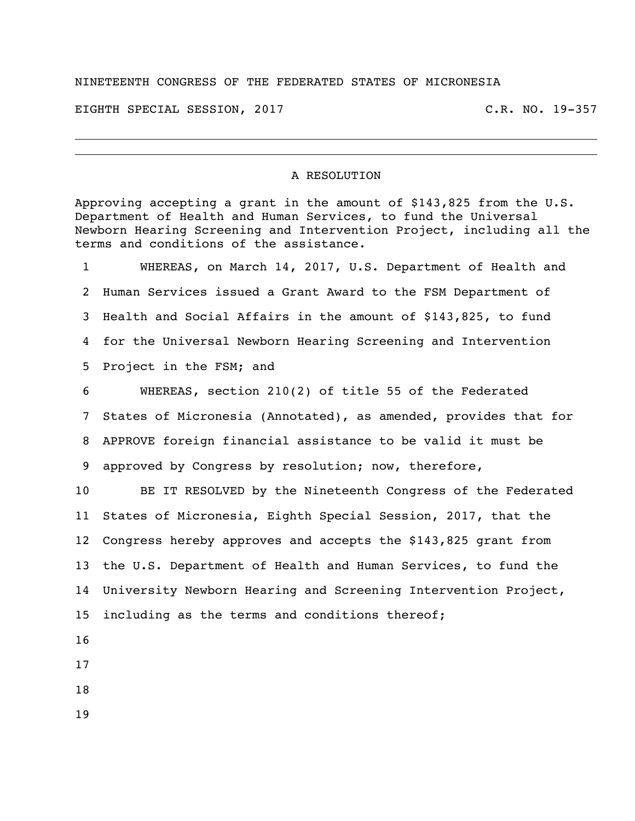## NINETEENTH CONGRESS OF THE FEDERATED STATES OF MICRONESIA

EIGHTH SPECIAL SESSION, 2017 C.R. NO. 19-357

## A RESOLUTION

Approving accepting a grant in the amount of \$143,825 from the U.S. Department of Health and Human Services, to fund the Universal Newborn Hearing Screening and Intervention Project, including all the terms and conditions of the assistance.

 WHEREAS, on March 14, 2017, U.S. Department of Health and Human Services issued a Grant Award to the FSM Department of Health and Social Affairs in the amount of \$143,825, to fund for the Universal Newborn Hearing Screening and Intervention Project in the FSM; and WHEREAS, section 210(2) of title 55 of the Federated States of Micronesia (Annotated), as amended, provides that for APPROVE foreign financial assistance to be valid it must be approved by Congress by resolution; now, therefore,

 BE IT RESOLVED by the Nineteenth Congress of the Federated States of Micronesia, Eighth Special Session, 2017, that the Congress hereby approves and accepts the \$143,825 grant from the U.S. Department of Health and Human Services, to fund the University Newborn Hearing and Screening Intervention Project, including as the terms and conditions thereof;

- 
- 
- 
-